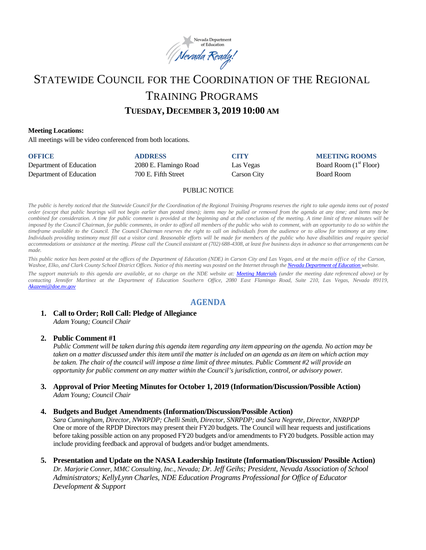

# STATEWIDE COUNCIL FOR THE COORDINATION OF THE REGIONAL TRAINING PROGRAMS

# **TUESDAY, DECEMBER 3, 2019 10:00 AM**

#### **Meeting Locations:**

All meetings will be video conferenced from both locations.

| <b>OFFICE</b>           | <b>ADDRESS</b>        | <b>CITY</b> | <b>MEETING ROOMS</b>     |
|-------------------------|-----------------------|-------------|--------------------------|
| Department of Education | 2080 E. Flamingo Road | Las Vegas   | Board Room $(1st$ Floor) |
| Department of Education | 700 E. Fifth Street   | Carson City | <b>Board Room</b>        |

#### PUBLIC NOTICE

The public is hereby noticed that the Statewide Council for the Coordination of the Regional Training Programs reserves the right to take agenda items out of posted order (except that public hearings will not begin earlier than posted times); items may be pulled or removed from the agenda at any time; and items may be combined for consideration. A time for public comment is provided at the beginning and at the conclusion of the meeting. A time limit of three minutes will be imposed by the Council Chairman, for public comments, in order to afford all members of the public who wish to comment, with an opportunity to do so within the timeframe available to the Council. The Council Chairman reserves the right to call on individuals from the audience or to allow for testimony at any time. Individuals providing testimony must fill out a visitor card. Reasonable efforts will be made for members of the public who have disabilities and require special accommodations or assistance at the meeting. Please call the Council assistant at (702) 688-4308, at least five business days in advance so that arrangements can be *made.*

This public notice has been posted at the offices of the Department of Education (NDE) in Carson City and Las Vegas, and at the main office of the Carson, Washoe, Elko, and Clark County School District Offices. Notice of this meeting was posted on the Internet through th[e Nevada Department](http://www.doe.nv.gov/) of Education website.

The support materials to this agenda are available, at no charge on the NDE website at: [Meeting Materials](http://www.doe.nv.gov/StateBoardEducationMeetings/) (under the meeting date referenced above) or by *contacting Jennifer Martinez at the Department of Education Southern Office, 2080 East Flamingo Road, Suite 210, Las Vegas, Nevada 89119, [Akazemi@doe.nv.gov](mailto:Akazemi@doe.nv.gov)*

# **AGENDA**

# **1. Call to Order; Roll Call: Pledge of Allegiance**

*Adam Young; Council Chair* 

## **2. Public Comment #1**

*Public Comment will be taken during this agenda item regarding any item appearing on the agenda. No action may be taken on a matter discussed under this item until the matter is included on an agenda as an item on which action may be taken. The chair of the council will impose a time limit of three minutes. Public Comment #2 will provide an opportunity for public comment on any matter within the Council's jurisdiction, control, or advisory power.* 

**3. Approval of Prior Meeting Minutes for October 1, 2019 (Information/Discussion/Possible Action)**  *Adam Young; Council Chair* 

#### **4. Budgets and Budget Amendments (Information/Discussion/Possible Action)**

*Sara Cunningham, Director, NWRPDP; Chelli Smith, Director, SNRPDP; and Sara Negrete, Director, NNRPDP*  One or more of the RPDP Directors may present their FY20 budgets. The Council will hear requests and justifications before taking possible action on any proposed FY20 budgets and/or amendments to FY20 budgets. Possible action may include providing feedback and approval of budgets and/or budget amendments.

**5. Presentation and Update on the NASA Leadership Institute (Information/Discussion/ Possible Action)**  *Dr. Marjorie Conner, MMC Consulting, Inc., Nevada; Dr. Jeff Geihs; President, Nevada Association of School Administrators; KellyLynn Charles, NDE Education Programs Professional for Office of Educator Development & Support*